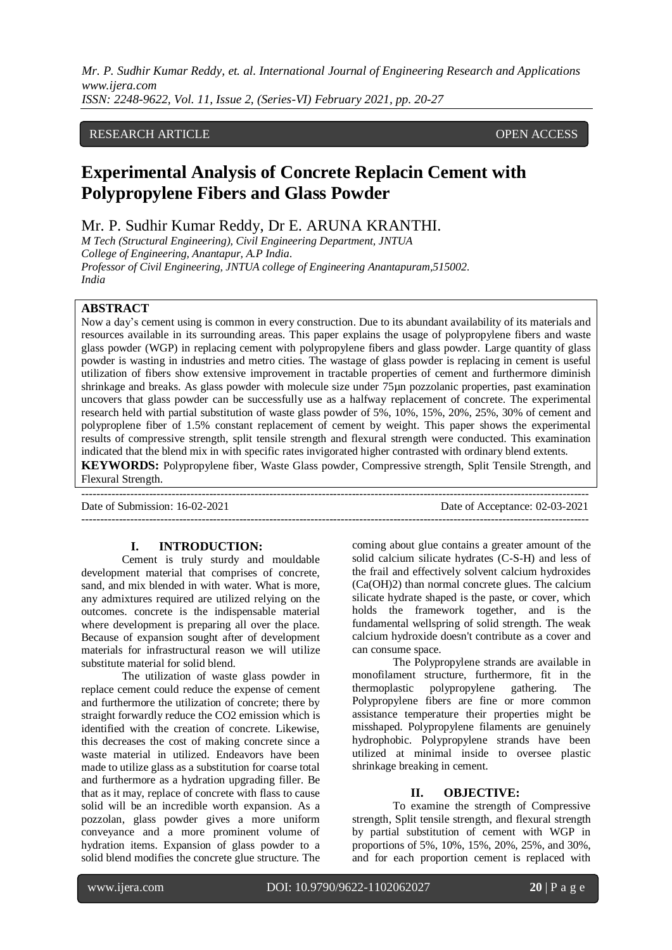*Mr. P. Sudhir Kumar Reddy, et. al. International Journal of Engineering Research and Applications www.ijera.com*

*ISSN: 2248-9622, Vol. 11, Issue 2, (Series-VI) February 2021, pp. 20-27*

# RESEARCH ARTICLE **CONSERVERS** OPEN ACCESS

# **Experimental Analysis of Concrete Replacin Cement with Polypropylene Fibers and Glass Powder**

Mr. P. Sudhir Kumar Reddy, Dr E. ARUNA KRANTHI.

*M Tech (Structural Engineering), Civil Engineering Department, JNTUA College of Engineering, Anantapur, A.P India. Professor of Civil Engineering, JNTUA college of Engineering Anantapuram,515002. India* 

# **ABSTRACT**

Now a day's cement using is common in every construction. Due to its abundant availability of its materials and resources available in its surrounding areas. This paper explains the usage of polypropylene fibers and waste glass powder (WGP) in replacing cement with polypropylene fibers and glass powder. Large quantity of glass powder is wasting in industries and metro cities. The wastage of glass powder is replacing in cement is useful utilization of fibers show extensive improvement in tractable properties of cement and furthermore diminish shrinkage and breaks. As glass powder with molecule size under 75µn pozzolanic properties, past examination uncovers that glass powder can be successfully use as a halfway replacement of concrete. The experimental research held with partial substitution of waste glass powder of 5%, 10%, 15%, 20%, 25%, 30% of cement and polyproplene fiber of 1.5% constant replacement of cement by weight. This paper shows the experimental results of compressive strength, split tensile strength and flexural strength were conducted. This examination indicated that the blend mix in with specific rates invigorated higher contrasted with ordinary blend extents. **KEYWORDS:** Polypropylene fiber, Waste Glass powder, Compressive strength, Split Tensile Strength, and Flexural Strength.

---------------------------------------------------------------------------------------------------------------------------------------

Date of Submission: 16-02-2021 Date of Acceptance: 02-03-2021 ---------------------------------------------------------------------------------------------------------------------------------------

#### **I. INTRODUCTION:**

Cement is truly sturdy and mouldable development material that comprises of concrete, sand, and mix blended in with water. What is more, any admixtures required are utilized relying on the outcomes. concrete is the indispensable material where development is preparing all over the place. Because of expansion sought after of development materials for infrastructural reason we will utilize substitute material for solid blend.

The utilization of waste glass powder in replace cement could reduce the expense of cement and furthermore the utilization of concrete; there by straight forwardly reduce the CO2 emission which is identified with the creation of concrete. Likewise, this decreases the cost of making concrete since a waste material in utilized. Endeavors have been made to utilize glass as a substitution for coarse total and furthermore as a hydration upgrading filler. Be that as it may, replace of concrete with flass to cause solid will be an incredible worth expansion. As a pozzolan, glass powder gives a more uniform conveyance and a more prominent volume of hydration items. Expansion of glass powder to a solid blend modifies the concrete glue structure. The coming about glue contains a greater amount of the solid calcium silicate hydrates (C-S-H) and less of the frail and effectively solvent calcium hydroxides (Ca(OH)2) than normal concrete glues. The calcium silicate hydrate shaped is the paste, or cover, which holds the framework together, and is the fundamental wellspring of solid strength. The weak calcium hydroxide doesn't contribute as a cover and can consume space.

The Polypropylene strands are available in monofilament structure, furthermore, fit in the thermoplastic polypropylene gathering. The Polypropylene fibers are fine or more common assistance temperature their properties might be misshaped. Polypropylene filaments are genuinely hydrophobic. Polypropylene strands have been utilized at minimal inside to oversee plastic shrinkage breaking in cement.

#### **II. OBJECTIVE:**

To examine the strength of Compressive strength, Split tensile strength, and flexural strength by partial substitution of cement with WGP in proportions of 5%, 10%, 15%, 20%, 25%, and 30%, and for each proportion cement is replaced with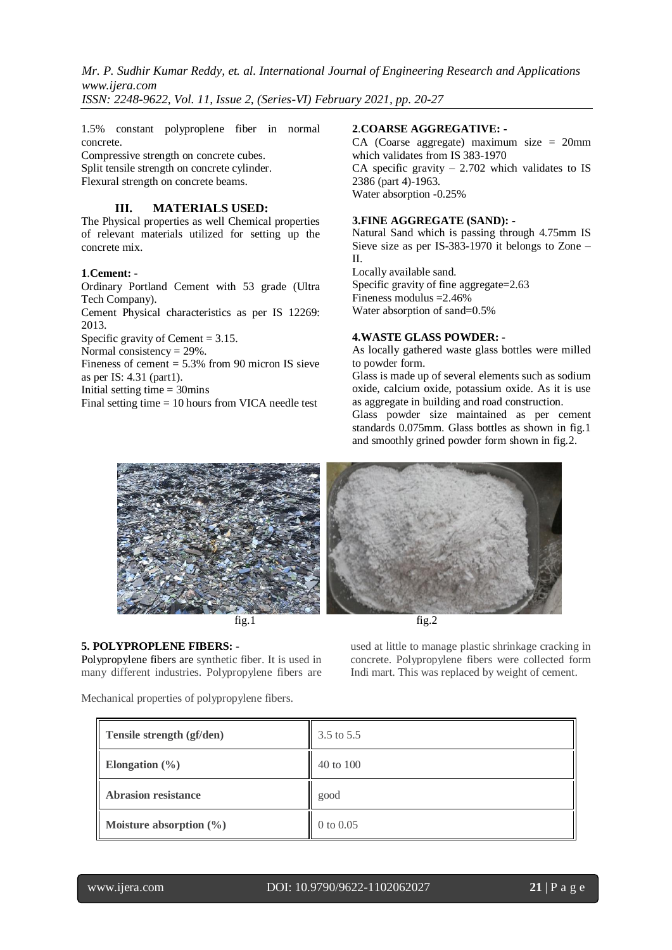1.5% constant polyproplene fiber in normal concrete.

Compressive strength on concrete cubes. Split tensile strength on concrete cylinder. Flexural strength on concrete beams.

# **III. MATERIALS USED:**

The Physical properties as well Chemical properties of relevant materials utilized for setting up the concrete mix.

# **1**.**Cement: -**

Ordinary Portland Cement with 53 grade (Ultra Tech Company).

Cement Physical characteristics as per IS 12269: 2013.

Specific gravity of Cement  $= 3.15$ .

Normal consistency  $= 29\%$ .

Fineness of cement  $= 5.3\%$  from 90 micron IS sieve as per IS: 4.31 (part1).

Initial setting time  $=$  30mins

Final setting time = 10 hours from VICA needle test

#### **2**.**COARSE AGGREGATIVE: -**

CA (Coarse aggregate) maximum size = 20mm which validates from IS 383-1970 CA specific gravity  $-2.702$  which validates to IS 2386 (part 4)-1963. Water absorption -0.25%

#### **3.FINE AGGREGATE (SAND): -**

Natural Sand which is passing through 4.75mm IS Sieve size as per IS-383-1970 it belongs to Zone – II.

Locally available sand. Specific gravity of fine aggregate=2.63 Fineness modulus =2.46% Water absorption of sand=0.5%

#### **4.WASTE GLASS POWDER: -**

As locally gathered waste glass bottles were milled to powder form.

Glass is made up of several elements such as sodium oxide, calcium oxide, potassium oxide. As it is use as aggregate in building and road construction.

Glass powder size maintained as per cement standards 0.075mm. Glass bottles as shown in fig.1 and smoothly grined powder form shown in fig.2.



fig.1 fig.2

**5. POLYPROPLENE FIBERS: -**

Polypropylene fibers are synthetic fiber. It is used in many different industries. Polypropylene fibers are used at little to manage plastic shrinkage cracking in concrete. Polypropylene fibers were collected form Indi mart. This was replaced by weight of cement.

Mechanical properties of polypropylene fibers.

| Tensile strength (gf/den)   | 3.5 to 5.5    |
|-----------------------------|---------------|
| Elongation $(\% )$          | 40 to 100     |
| <b>Abrasion resistance</b>  | good          |
| Moisture absorption $(\% )$ | $0$ to $0.05$ |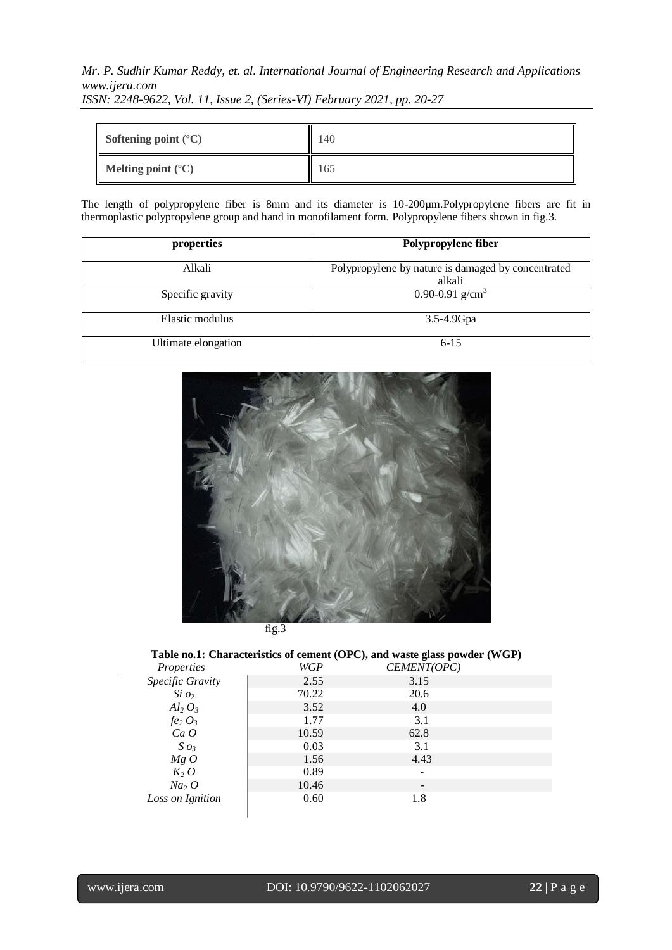|  | <b>IDDIY.</b> 2270-7022, YOU II, ISSUE 2, (DETIES-YI) I COTUUTY 2021, PP. 20-27 |  |  |
|--|---------------------------------------------------------------------------------|--|--|
|  |                                                                                 |  |  |
|  |                                                                                 |  |  |
|  |                                                                                 |  |  |

| Softening point $({}^{\circ}C)$   | !40 |
|-----------------------------------|-----|
| $\blacksquare$ Melting point (°C) | 165 |

The length of polypropylene fiber is 8mm and its diameter is 10-200µm.Polypropylene fibers are fit in thermoplastic polypropylene group and hand in monofilament form. Polypropylene fibers shown in fig.3.

| properties          | Polypropylene fiber                                          |
|---------------------|--------------------------------------------------------------|
| Alkali              | Polypropylene by nature is damaged by concentrated<br>alkali |
| Specific gravity    | 0.90-0.91 $g/cm3$                                            |
| Elastic modulus     | 3.5-4.9Gpa                                                   |
| Ultimate elongation | $6 - 15$                                                     |



|  | fig.3 |
|--|-------|
|  |       |

# **Table no.1: Characteristics of cement (OPC), and waste glass powder (WGP)**

| Properties       | WGP   | CEMENT(OPC)              |  |
|------------------|-------|--------------------------|--|
| Specific Gravity | 2.55  | 3.15                     |  |
| $Si$ $o_2$       | 70.22 | 20.6                     |  |
| $Al_2 O_3$       | 3.52  | 4.0                      |  |
| $fe_2 O_3$       | 1.77  | 3.1                      |  |
| Ca O             | 10.59 | 62.8                     |  |
| $S$ $o_3$        | 0.03  | 3.1                      |  |
| MgO              | 1.56  | 4.43                     |  |
| $K_2$ O          | 0.89  |                          |  |
| $Na2$ O          | 10.46 | $\overline{\phantom{a}}$ |  |
| Loss on Ignition | 0.60  | 1.8                      |  |
|                  |       |                          |  |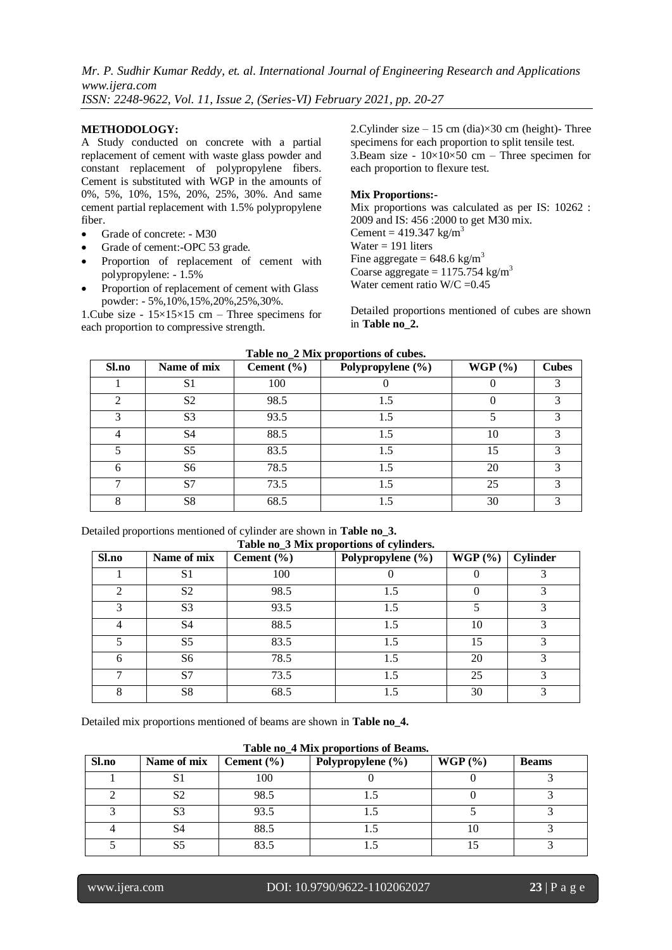#### **METHODOLOGY:**

A Study conducted on concrete with a partial replacement of cement with waste glass powder and constant replacement of polypropylene fibers. Cement is substituted with WGP in the amounts of 0%, 5%, 10%, 15%, 20%, 25%, 30%. And same cement partial replacement with 1.5% polypropylene fiber.

- Grade of concrete: M30
- Grade of cement:-OPC 53 grade.
- Proportion of replacement of cement with polypropylene: - 1.5%
- Proportion of replacement of cement with Glass powder: - 5%,10%,15%,20%,25%,30%.

1. Cube size -  $15 \times 15 \times 15$  cm – Three specimens for each proportion to compressive strength.

2. Cylinder size  $-15$  cm (dia) $\times$ 30 cm (height)-Three specimens for each proportion to split tensile test. 3.Beam size -  $10\times10\times50$  cm – Three specimen for each proportion to flexure test.

#### **Mix Proportions:-**

Mix proportions was calculated as per IS: 10262 : 2009 and IS: 456 :2000 to get M30 mix. Cement =  $419.347 \text{ kg/m}^3$ Water  $= 191$  liters Fine aggregate =  $648.6 \text{ kg/m}^3$ Coarse aggregate =  $1175.754 \text{ kg/m}^3$ Water cement ratio  $W/C = 0.45$ 

Detailed proportions mentioned of cubes are shown in **Table no\_2.**

| Sl.no          | Name of mix    | Cement $(\% )$ | Polypropylene (%) | WGP(%) | <b>Cubes</b> |
|----------------|----------------|----------------|-------------------|--------|--------------|
|                | S <sub>1</sub> | 100            |                   |        |              |
| $\mathfrak{D}$ | S <sub>2</sub> | 98.5           | 1.5               |        | 3            |
| 3              | S <sub>3</sub> | 93.5           | 1.5               |        |              |
|                | S <sub>4</sub> | 88.5           | 1.5               | 10     | 3            |
|                | S <sub>5</sub> | 83.5           | 1.5               | 15     | 3            |
| 6              | S6             | 78.5           | 1.5               | 20     |              |
|                | S7             | 73.5           | 1.5               | 25     | 3            |
| 8              | S <sub>8</sub> | 68.5           | 1.5               | 30     | 3            |

# **Table no\_2 Mix proportions of cubes.**

Detailed proportions mentioned of cylinder are shown in **Table no\_3. Table no\_3 Mix proportions of cylinders.**

| Sl.no | Name of mix    | Cement $(\% )$ | Polypropylene (%) | WGP(%) | <b>Cylinder</b> |
|-------|----------------|----------------|-------------------|--------|-----------------|
|       | S <sub>1</sub> | 100            |                   |        |                 |
| ↑     | S <sub>2</sub> | 98.5           | 1.5               |        |                 |
| 3     | S <sub>3</sub> | 93.5           | 1.5               |        |                 |
| 4     | S <sub>4</sub> | 88.5           | 1.5               | 10     |                 |
| 5     | S <sub>5</sub> | 83.5           | 1.5               | 15     |                 |
| 6     | S6             | 78.5           | 1.5               | 20     |                 |
| ⇁     | S7             | 73.5           | 1.5               | 25     |                 |
| 8     | S <sub>8</sub> | 68.5           | 1.5               | 30     |                 |

Detailed mix proportions mentioned of beams are shown in **Table no\_4.**

| Table no 4 MIX proportions of Deams. |                |                |                       |        |              |
|--------------------------------------|----------------|----------------|-----------------------|--------|--------------|
| Sl.no                                | Name of mix    | Cement $(\% )$ | Polypropylene $(\% )$ | WGP(%) | <b>Beams</b> |
|                                      | ЮJ             | 100            |                       |        |              |
|                                      | S2             | 98.5           |                       |        |              |
|                                      | S <sub>3</sub> | 93.5           |                       |        |              |
|                                      | S4             | 88.5           |                       | I U    |              |
|                                      |                | 83.5           |                       |        |              |

**Table no\_4 Mix proportions of Beams.**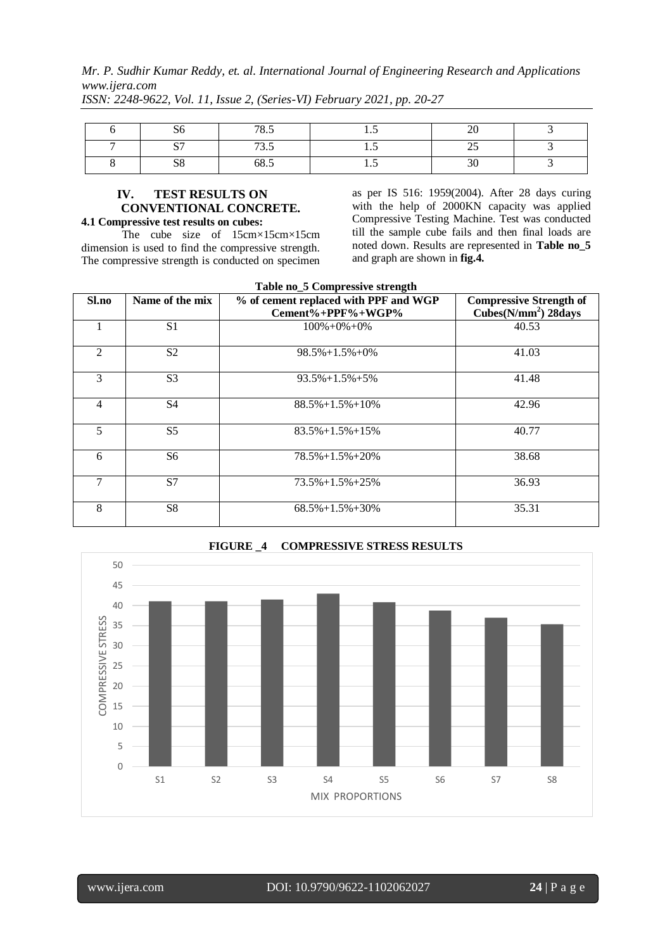*Mr. P. Sudhir Kumar Reddy, et. al. International Journal of Engineering Research and Applications www.ijera.com*

| OG.         | 70E<br>$\mathbf{0.}$ | 1.J | $\sim$ $\sim$<br>∠∪  |  |
|-------------|----------------------|-----|----------------------|--|
| $\sim$<br>ັ | $\pi$<br>ن.ر ۱       | 1.J | $\sim$ $\sim$<br>ر_ر |  |
| cο<br>50    | 68.J                 | 1.J | $\sim$ $\sim$<br>υU  |  |

*ISSN: 2248-9622, Vol. 11, Issue 2, (Series-VI) February 2021, pp. 20-27*

# **IV. TEST RESULTS ON CONVENTIONAL CONCRETE.**

**4.1 Compressive test results on cubes:** The cube size of 15cm×15cm×15cm dimension is used to find the compressive strength. The compressive strength is conducted on specimen as per IS 516: 1959(2004). After 28 days curing with the help of 2000KN capacity was applied Compressive Testing Machine. Test was conducted till the sample cube fails and then final loads are noted down. Results are represented in **Table no\_5** and graph are shown in **fig.4.**

| Name of the mix<br>% of cement replaced with PPF and WGP<br><b>Compressive Strength of</b><br>Sl.no |                |                             |                         |  |  |  |
|-----------------------------------------------------------------------------------------------------|----------------|-----------------------------|-------------------------|--|--|--|
|                                                                                                     |                | $Cement\% + PPPF\% + WGP\%$ | Cubes( $N/mm2$ ) 28days |  |  |  |
|                                                                                                     | S <sub>1</sub> | $100\% + 0\% + 0\%$         | 40.53                   |  |  |  |
| $\mathfrak{D}$                                                                                      | S <sub>2</sub> | $98.5\% + 1.5\% + 0\%$      | 41.03                   |  |  |  |
| 3                                                                                                   | S <sub>3</sub> | $93.5\% + 1.5\% + 5\%$      | 41.48                   |  |  |  |
| $\overline{4}$                                                                                      | <b>S4</b>      | $88.5\% + 1.5\% + 10\%$     | 42.96                   |  |  |  |
| 5                                                                                                   | S <sub>5</sub> | $83.5\% + 1.5\% + 15\%$     | 40.77                   |  |  |  |
| 6                                                                                                   | S <sub>6</sub> | $78.5\% + 1.5\% + 20\%$     | 38.68                   |  |  |  |
| 7                                                                                                   | S7             | $73.5\% + 1.5\% + 25\%$     | 36.93                   |  |  |  |
| 8                                                                                                   | S <sup>8</sup> | $68.5\% + 1.5\% + 30\%$     | 35.31                   |  |  |  |



### **FIGURE \_4 COMPRESSIVE STRESS RESULTS**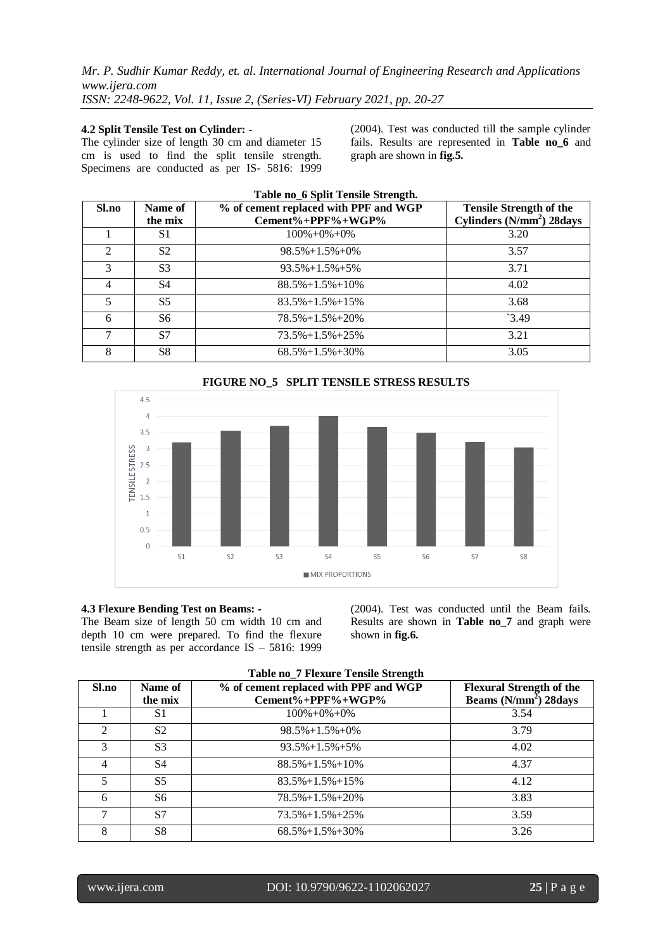#### **4.2 Split Tensile Test on Cylinder: -**

The cylinder size of length 30 cm and diameter 15 cm is used to find the split tensile strength. Specimens are conducted as per IS- 5816: 1999 (2004). Test was conducted till the sample cylinder fails. Results are represented in **Table no\_6** and graph are shown in **fig.5.**

| Table no_6 Split Tensile Strength. |                |                                       |                                       |  |  |
|------------------------------------|----------------|---------------------------------------|---------------------------------------|--|--|
| Sl.no                              | Name of        | % of cement replaced with PPF and WGP | <b>Tensile Strength of the</b>        |  |  |
|                                    | the mix        | Cement%+PPF%+WGP%                     | Cylinders (N/mm <sup>2</sup> ) 28days |  |  |
|                                    | S1             | $100\% + 0\% + 0\%$                   | 3.20                                  |  |  |
| $\mathcal{D}_{\mathcal{L}}$        | S <sub>2</sub> | $98.5\% + 1.5\% + 0\%$                | 3.57                                  |  |  |
| 3                                  | S <sub>3</sub> | $93.5\% + 1.5\% + 5\%$                | 3.71                                  |  |  |
| 4                                  | S4             | $88.5\% + 1.5\% + 10\%$               | 4.02                                  |  |  |
| 5                                  | S <sub>5</sub> | $83.5\% + 1.5\% + 15\%$               | 3.68                                  |  |  |
| 6                                  | S6             | $78.5\% + 1.5\% + 20\%$               | 3.49                                  |  |  |
|                                    | S7             | $73.5\% + 1.5\% + 25\%$               | 3.21                                  |  |  |
| 8                                  | S8             | $68.5\% + 1.5\% + 30\%$               | 3.05                                  |  |  |



#### **4.3 Flexure Bending Test on Beams: -**

The Beam size of length 50 cm width 10 cm and depth 10 cm were prepared. To find the flexure tensile strength as per accordance IS – 5816: 1999

(2004). Test was conducted until the Beam fails. Results are shown in **Table no\_7** and graph were shown in **fig.6.**

| Sl.no          | Name of<br>the mix | % of cement replaced with PPF and WGP<br>Cement%+PPF%+WGP% | <b>Flexural Strength of the</b><br>Beams (N/mm <sup>2</sup> ) 28days |
|----------------|--------------------|------------------------------------------------------------|----------------------------------------------------------------------|
|                | S1                 | $100\% + 0\% + 0\%$                                        | 3.54                                                                 |
| $\mathfrak{D}$ | S <sub>2</sub>     | $98.5\% + 1.5\% + 0\%$                                     | 3.79                                                                 |
|                | S <sub>3</sub>     | $93.5\% + 1.5\% + 5\%$                                     | 4.02                                                                 |
|                | S4                 | $88.5\% + 1.5\% + 10\%$                                    | 4.37                                                                 |
|                | S <sub>5</sub>     | $83.5\% + 1.5\% + 15\%$                                    | 4.12                                                                 |
| 6              | S6                 | $78.5\% + 1.5\% + 20\%$                                    | 3.83                                                                 |
| ⇁              | S7                 | $73.5\% + 1.5\% + 25\%$                                    | 3.59                                                                 |
| 8              | S8                 | $68.5\% + 1.5\% + 30\%$                                    | 3.26                                                                 |

# **Table no\_7 Flexure Tensile Strength**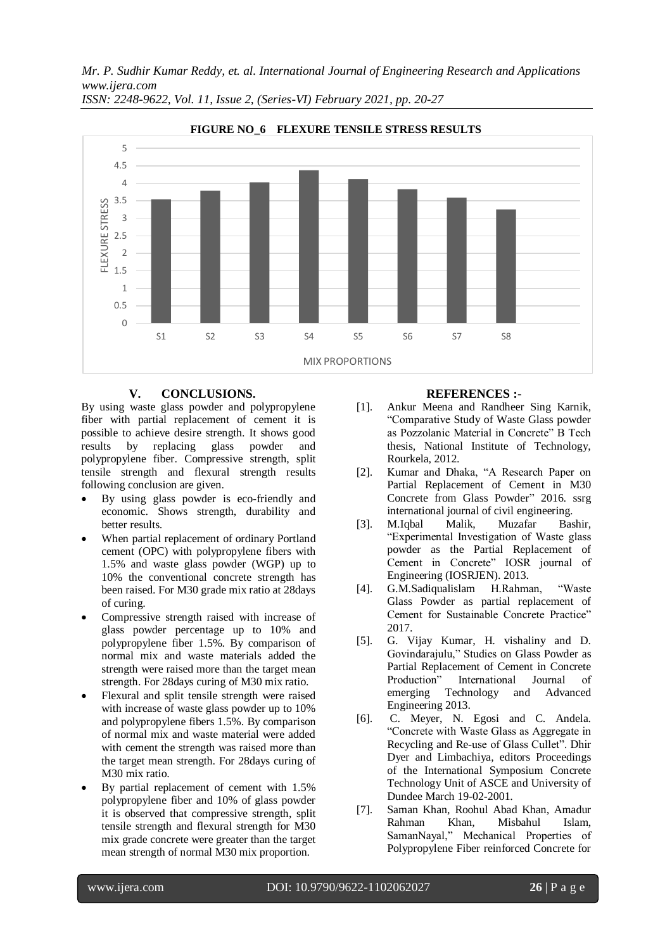*Mr. P. Sudhir Kumar Reddy, et. al. International Journal of Engineering Research and Applications www.ijera.com*



*ISSN: 2248-9622, Vol. 11, Issue 2, (Series-VI) February 2021, pp. 20-27*

## **V. CONCLUSIONS.**

By using waste glass powder and polypropylene fiber with partial replacement of cement it is possible to achieve desire strength. It shows good results by replacing glass powder and polypropylene fiber. Compressive strength, split tensile strength and flexural strength results following conclusion are given.

- By using glass powder is eco-friendly and economic. Shows strength, durability and better results.
- When partial replacement of ordinary Portland cement (OPC) with polypropylene fibers with 1.5% and waste glass powder (WGP) up to 10% the conventional concrete strength has been raised. For M30 grade mix ratio at 28days of curing.
- Compressive strength raised with increase of glass powder percentage up to 10% and polypropylene fiber 1.5%. By comparison of normal mix and waste materials added the strength were raised more than the target mean strength. For 28days curing of M30 mix ratio.
- Flexural and split tensile strength were raised with increase of waste glass powder up to 10% and polypropylene fibers 1.5%. By comparison of normal mix and waste material were added with cement the strength was raised more than the target mean strength. For 28days curing of M30 mix ratio.
- By partial replacement of cement with 1.5% polypropylene fiber and 10% of glass powder it is observed that compressive strength, split tensile strength and flexural strength for M30 mix grade concrete were greater than the target mean strength of normal M30 mix proportion.

## **REFERENCES :-**

- [1]. Ankur Meena and Randheer Sing Karnik, "Comparative Study of Waste Glass powder as Pozzolanic Material in Concrete" B Tech thesis, National Institute of Technology, Rourkela, 2012.
- [2]. Kumar and Dhaka, "A Research Paper on Partial Replacement of Cement in M30 Concrete from Glass Powder" 2016. ssrg international journal of civil engineering.
- [3]. M.Iqbal Malik, Muzafar Bashir, "Experimental Investigation of Waste glass powder as the Partial Replacement of Cement in Concrete" IOSR journal of Engineering (IOSRJEN). 2013.
- [4]. G.M.Sadiqualislam H.Rahman, "Waste Glass Powder as partial replacement of Cement for Sustainable Concrete Practice" 2017.
- [5]. G. Vijay Kumar, H. vishaliny and D. Govindarajulu," Studies on Glass Powder as Partial Replacement of Cement in Concrete Production" International Journal of emerging Technology and Advanced Engineering 2013.
- [6]. C. Meyer, N. Egosi and C. Andela. "Concrete with Waste Glass as Aggregate in Recycling and Re-use of Glass Cullet". Dhir Dyer and Limbachiya, editors Proceedings of the International Symposium Concrete Technology Unit of ASCE and University of Dundee March 19-02-2001.
- [7]. Saman Khan, Roohul Abad Khan, Amadur Rahman Khan, Misbahul Islam, SamanNayal," Mechanical Properties of Polypropylene Fiber reinforced Concrete for